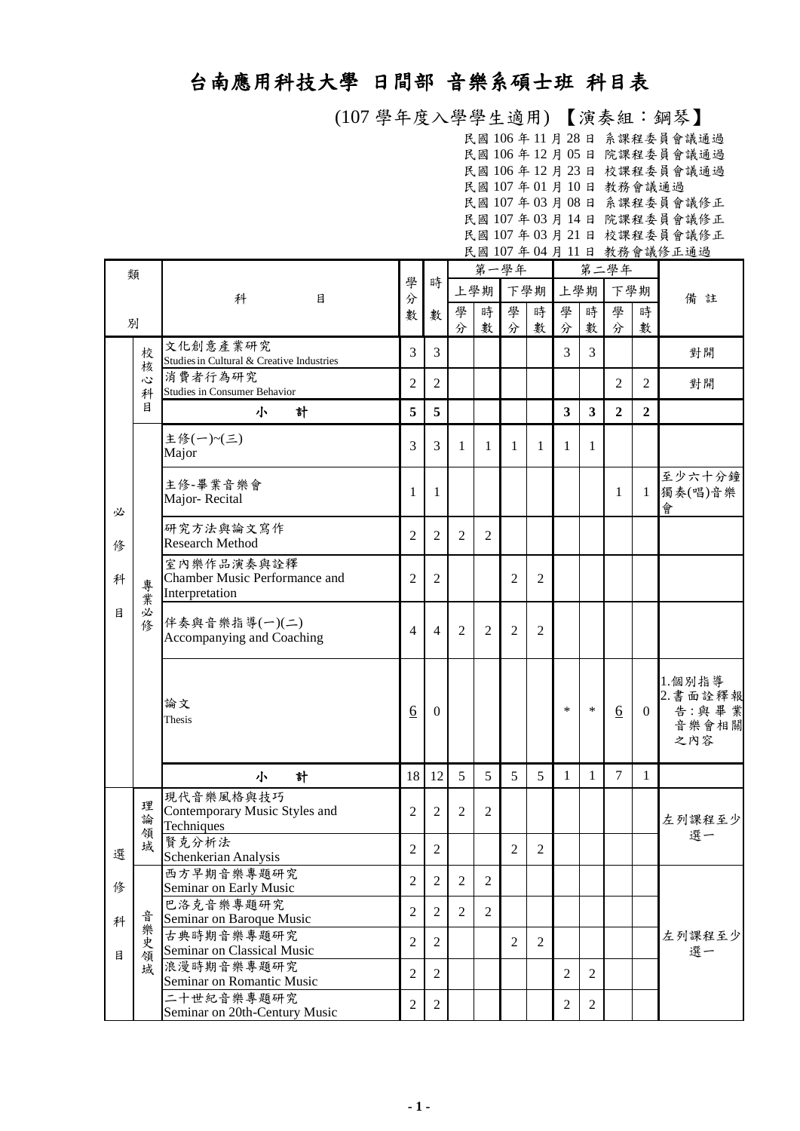## 台南應用科技大學 日間部 音樂系碩士班 科目表

 (107 學年度入學學生適用) 【演奏組:鋼琴】 民國 106 年 11 月 28 日 系課程委員會議通過 民國 106 年 12 月 05 日 院課程委員會議通過 民國 106 年 12 月 23 日 校課程委員會議通過 民國 107 年 01 月 10 日 教務會議通過 民國 107 年 03 月 08 日 系課程委員會議修正 民國 107 年 03 月 14 日 院課程委員會議修正 民國 107 年 03 月 21 日 校課程委員會議修正

|   |        |                                             |                 |                |                |                |                |                |                         |                         |                 | 民國 107年 04月11日 教務會議修正通過 |                |
|---|--------|---------------------------------------------|-----------------|----------------|----------------|----------------|----------------|----------------|-------------------------|-------------------------|-----------------|-------------------------|----------------|
|   | 類      |                                             |                 |                | 第一學年           |                |                |                |                         |                         | 第二學年            |                         |                |
|   |        |                                             | 學               | 時              |                | 上學期            |                | 下學期            |                         | 上學期                     |                 | 下學期                     |                |
|   |        | 科<br>目                                      | 分<br>數          | 數              | 學              | 時              | 學              | 時              | 學                       | 時                       | 學               | 時                       | 備註             |
|   | 別      |                                             |                 |                | 分              | 數              | 分              | 數              | 分                       | 數                       | 分               | 數                       |                |
|   |        | 文化創意產業研究                                    | 3               | 3              |                |                |                |                | 3                       | 3                       |                 |                         | 對開             |
|   | 校<br>核 | Studies in Cultural & Creative Industries   |                 |                |                |                |                |                |                         |                         |                 |                         |                |
|   | 心      | 消費者行為研究                                     | 2               | $\overline{c}$ |                |                |                |                |                         |                         | $\overline{2}$  | $\overline{2}$          | 對開             |
|   | 科<br>目 | Studies in Consumer Behavior                |                 |                |                |                |                |                |                         |                         |                 |                         |                |
|   |        | 計<br>小                                      | 5               | 5              |                |                |                |                | $\overline{\mathbf{3}}$ | $\overline{\mathbf{3}}$ | $\overline{2}$  | $\overline{2}$          |                |
|   |        | 主修(一)~(三)                                   | 3               | 3              | 1              | $\mathbf{1}$   | 1              | 1              | 1                       | 1                       |                 |                         |                |
|   |        | Major                                       |                 |                |                |                |                |                |                         |                         |                 |                         |                |
|   |        | 主修-畢業音樂會                                    |                 |                |                |                |                |                |                         |                         |                 |                         | 至少六十分鐘         |
|   |        | Major-Recital                               | 1               | 1              |                |                |                |                |                         |                         | 1               | 1                       | 獨奏(唱)音樂        |
| 必 |        |                                             |                 |                |                |                |                |                |                         |                         |                 |                         | 會              |
|   |        | 研究方法與論文寫作<br><b>Research Method</b>         | $\overline{2}$  | $\overline{2}$ | $\overline{2}$ | $\overline{2}$ |                |                |                         |                         |                 |                         |                |
| 俢 |        |                                             |                 |                |                |                |                |                |                         |                         |                 |                         |                |
| 科 |        | 室內樂作品演奏與詮釋<br>Chamber Music Performance and | $\overline{2}$  | $\overline{2}$ |                |                | $\overline{2}$ | $\overline{2}$ |                         |                         |                 |                         |                |
| 目 | 專業     | Interpretation                              |                 |                |                |                |                |                |                         |                         |                 |                         |                |
|   | 必      |                                             |                 |                |                |                |                |                |                         |                         |                 |                         |                |
|   | 俢      | 伴奏與音樂指導(一)(二)                               | $\overline{4}$  | $\overline{4}$ | $\overline{2}$ | $\overline{2}$ | $\overline{2}$ | $\overline{2}$ |                         |                         |                 |                         |                |
|   |        | Accompanying and Coaching                   |                 |                |                |                |                |                |                         |                         |                 |                         |                |
|   |        |                                             |                 |                |                |                |                |                |                         |                         |                 |                         |                |
|   |        |                                             |                 |                |                |                |                |                |                         |                         |                 |                         | 1.個別指導         |
|   |        | 論文                                          |                 |                |                |                |                |                | $\ast$                  | *                       |                 |                         | 2. 書面詮釋報       |
|   |        | Thesis                                      | $\underline{6}$ | $\mathbf{0}$   |                |                |                |                |                         |                         | $\underline{6}$ | $\Omega$                | 告:與畢業<br>音樂會相關 |
|   |        |                                             |                 |                |                |                |                |                |                         |                         |                 |                         | 之內容            |
|   |        |                                             |                 |                |                |                |                |                |                         |                         |                 |                         |                |
|   |        | 計<br>小                                      | 18              | 12             | 5              | 5              | 5              | 5              | 1                       | 1                       | $\overline{7}$  | 1                       |                |
|   | 理      | 現代音樂風格與技巧                                   |                 |                |                |                |                |                |                         |                         |                 |                         |                |
|   | 論      | Contemporary Music Styles and               | 2               | $\overline{2}$ | $\overline{2}$ | $\overline{2}$ |                |                |                         |                         |                 |                         | 左列課程至少         |
|   | 領      | Techniques<br>賢克分析法                         |                 |                |                |                |                |                |                         |                         |                 |                         | 選一             |
| 選 | 域      | Schenkerian Analysis                        | 2               | 2              |                |                | 2              | 2              |                         |                         |                 |                         |                |
|   |        | 西方早期音樂專題研究                                  |                 |                |                |                |                |                |                         |                         |                 |                         |                |
| 俢 |        | Seminar on Early Music                      | $\overline{2}$  | $\overline{2}$ | 2              | 2              |                |                |                         |                         |                 |                         | 左列課程至少         |
|   |        | 巴洛克音樂專題研究                                   | $\overline{2}$  | $\overline{2}$ | 2              | $\overline{2}$ |                |                |                         |                         |                 |                         |                |
| 科 | 音      | Seminar on Baroque Music                    |                 |                |                |                |                |                |                         |                         |                 |                         |                |
|   | 樂史     | 古典時期音樂專題研究<br>Seminar on Classical Music    | $\overline{2}$  | $\overline{2}$ |                |                | $\overline{2}$ | $\overline{2}$ |                         |                         |                 |                         |                |
| 目 | 領<br>域 | 浪漫時期音樂專題研究                                  |                 |                |                |                |                |                |                         |                         |                 |                         | 選一             |
|   |        | Seminar on Romantic Music                   | $\overline{2}$  | $\overline{2}$ |                |                |                |                | $\overline{2}$          | $\mathbf{2}$            |                 |                         |                |
|   |        | 二十世紀音樂專題研究                                  | $\sqrt{2}$      | $\overline{c}$ |                |                |                |                | $\overline{2}$          | $\overline{c}$          |                 |                         |                |
|   |        | Seminar on 20th-Century Music               |                 |                |                |                |                |                |                         |                         |                 |                         |                |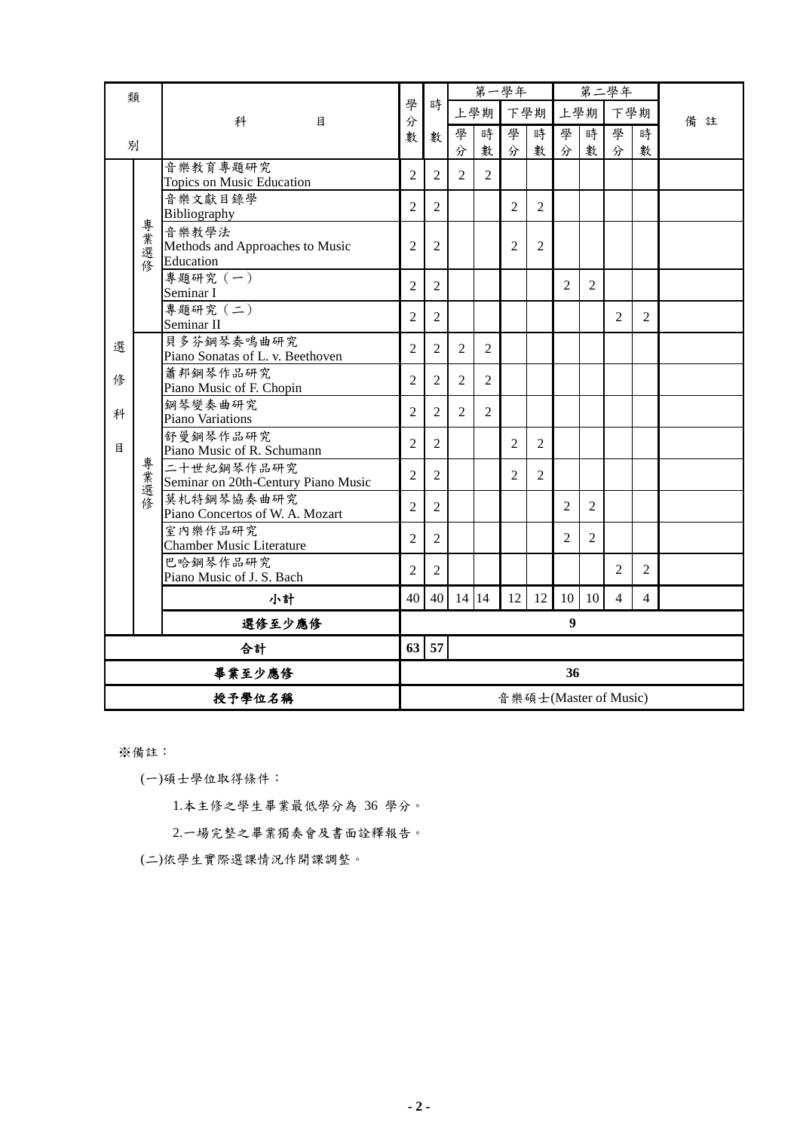| 類  |        |                                                       |                |                | 第一學年           |                |                |                |                  |                | 第二學年                  |                |        |
|----|--------|-------------------------------------------------------|----------------|----------------|----------------|----------------|----------------|----------------|------------------|----------------|-----------------------|----------------|--------|
|    |        | 科<br>目                                                | 學<br>分         | 時              |                | 上學期            | 下學期            |                | 上學期              |                | 下學期                   |                | 備<br>註 |
|    |        |                                                       | 數              | 數              | 學              | 時              | 學              | 時              | 學                | 時              | 學                     | 時              |        |
| 別  |        |                                                       |                |                | 分              | 數              | 分              | 數              | 分                | 數              | 分                     | 數              |        |
|    |        | 音樂教育專題研究<br><b>Topics on Music Education</b>          | $\overline{2}$ | $\overline{2}$ | $\overline{2}$ | $\overline{2}$ |                |                |                  |                |                       |                |        |
|    |        | 音樂文獻目錄學<br>Bibliography                               | $\overline{2}$ | $\overline{2}$ |                |                | $\overline{2}$ | $\overline{2}$ |                  |                |                       |                |        |
|    | 專業選修   | 音樂教學法<br>Methods and Approaches to Music<br>Education | $\overline{2}$ | $\overline{2}$ |                |                | $\overline{2}$ | $\overline{2}$ |                  |                |                       |                |        |
|    |        | 專題研究 (一)<br>Seminar I                                 | $\overline{2}$ | $\overline{c}$ |                |                |                |                | $\overline{2}$   | $\overline{2}$ |                       |                |        |
|    |        | 專題研究 (二)<br>Seminar II                                | $\overline{2}$ | $\overline{2}$ |                |                |                |                |                  |                | $\overline{2}$        | $\overline{2}$ |        |
| 選  |        | 貝多芬鋼琴奏鳴曲研究<br>Piano Sonatas of L. v. Beethoven        | $\overline{2}$ | $\overline{2}$ | $\overline{2}$ | $\overline{2}$ |                |                |                  |                |                       |                |        |
| 俢  |        | 蕭邦鋼琴作品研究<br>Piano Music of F. Chopin                  | $\overline{2}$ | $\overline{2}$ | $\overline{2}$ | $\overline{2}$ |                |                |                  |                |                       |                |        |
| 科  |        | 鋼琴變奏曲研究<br><b>Piano Variations</b>                    | $\overline{2}$ | 2              | 2              | 2              |                |                |                  |                |                       |                |        |
| 目  |        | 舒曼鋼琴作品研究<br>Piano Music of R. Schumann                | $\overline{2}$ | $\overline{2}$ |                |                | $\overline{2}$ | $\overline{2}$ |                  |                |                       |                |        |
|    | 專業選修   | 二十世紀鋼琴作品研究<br>Seminar on 20th-Century Piano Music     | $\overline{2}$ | $\overline{c}$ |                |                | $\overline{c}$ | $\overline{2}$ |                  |                |                       |                |        |
|    |        | 莫札特鋼琴協奏曲研究<br>Piano Concertos of W. A. Mozart         | $\overline{2}$ | $\overline{2}$ |                |                |                |                | $\overline{2}$   | $\overline{2}$ |                       |                |        |
|    |        | 室內樂作品研究<br><b>Chamber Music Literature</b>            | $\overline{2}$ | $\overline{2}$ |                |                |                |                | $\overline{2}$   | $\mathfrak{2}$ |                       |                |        |
|    |        | 巴哈鋼琴作品研究<br>Piano Music of J. S. Bach                 | $\overline{2}$ | $\overline{c}$ |                |                |                |                |                  |                | 2                     | $\overline{2}$ |        |
|    |        | 小計                                                    | 40             | 40             | 14 14          |                | 12             | 12             | 10               | 10             | $\overline{4}$        | $\overline{4}$ |        |
|    |        | 選修至少應修                                                |                |                |                |                |                |                | $\boldsymbol{9}$ |                |                       |                |        |
| 合計 |        |                                                       | 63             | 57             |                |                |                |                |                  |                |                       |                |        |
|    | 畢業至少應修 |                                                       |                | 36             |                |                |                |                |                  |                |                       |                |        |
|    | 授予學位名稱 |                                                       |                |                |                |                |                |                |                  |                | 音樂碩士(Master of Music) |                |        |

※備註:

(一)碩士學位取得條件:

1.本主修之學生畢業最低學分為 36 學分。

2.一場完整之畢業獨奏會及書面詮釋報告。

(二)依學生實際選課情況作開課調整。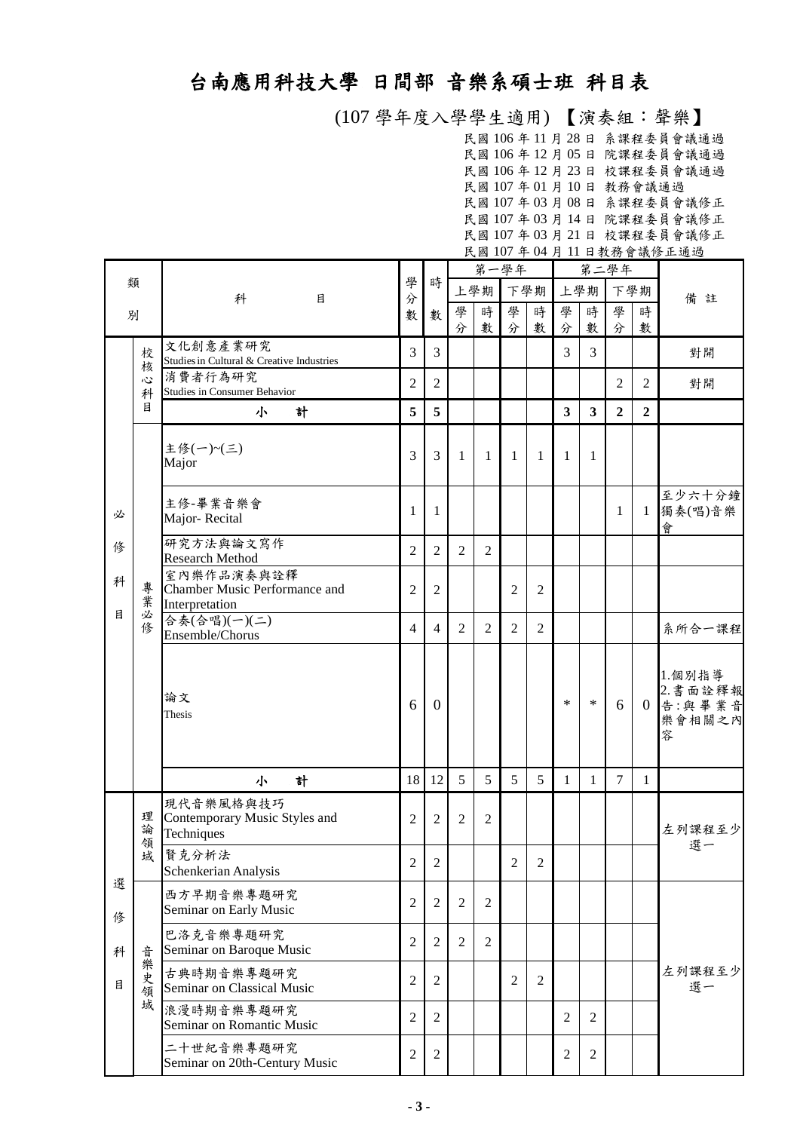## 台南應用科技大學 日間部 音樂系碩士班 科目表

 (107 學年度入學學生適用) 【演奏組:聲樂】 民國 106 年 11 月 28 日 系課程委員會議通過 民國 106 年 12 月 05 日 院課程委員會議通過 民國 106 年 12 月 23 日 校課程委員會議通過 民國 107 年 01 月 10 日 教務會議通過 民國 107 年 03 月 08 日 系課程委員會議修正 民國 107 年 03 月 14 日 院課程委員會議修正 民國 107 年 03 月 21 日 校課程委員會議修正 民國 107 年 04 月 11 日教務會議修正通過

|        |             |                                                               |                  |                  | 第一學年           |                |                |                |                         |                         | 第二學年           |                |                                             |
|--------|-------------|---------------------------------------------------------------|------------------|------------------|----------------|----------------|----------------|----------------|-------------------------|-------------------------|----------------|----------------|---------------------------------------------|
|        | 類           | 科<br>目                                                        | 學<br>分           | 時                | 上學期<br>下學期     |                |                | 上學期            | 下學期                     |                         | 備註             |                |                                             |
| 別      |             |                                                               | 數                | 數                | 學<br>分         | 時<br>數         | 學<br>分         | 時<br>數         | 學<br>分                  | 時<br>數                  | 學<br>分         | 時<br>數         |                                             |
|        | 校<br>核      | 文化創意產業研究<br>Studies in Cultural & Creative Industries         | 3                | $\overline{3}$   |                |                |                |                | 3                       | 3                       |                |                | 對開                                          |
|        | 心<br>科      | 消費者行為研究<br>Studies in Consumer Behavior                       | $\overline{2}$   | $\overline{2}$   |                |                |                |                |                         |                         | $\overline{2}$ | $\overline{2}$ | 對開                                          |
|        | 目           | 計<br>小                                                        | 5                | 5                |                |                |                |                | $\overline{\mathbf{3}}$ | $\overline{\mathbf{3}}$ | $\overline{2}$ | $\overline{2}$ |                                             |
|        |             | 主修(一)~(三)<br>Major                                            | 3                | 3                | 1              | 1              | 1              | 1              | 1                       | 1                       |                |                |                                             |
| 必      |             | 主修-畢業音樂會<br>Major-Recital                                     | 1                | 1                |                |                |                |                |                         |                         | $\mathbf{1}$   | 1              | 至少六十分鐘<br>獨奏(唱)音樂<br>會                      |
| 俢      |             | 研究方法與論文寫作<br><b>Research Method</b>                           | $\mathfrak{2}$   | $\mathfrak{2}$   | $\overline{2}$ | $\overline{2}$ |                |                |                         |                         |                |                |                                             |
| 科      | 專<br>業      | 室內樂作品演奏與詮釋<br>Chamber Music Performance and<br>Interpretation | $\overline{2}$   | $\overline{2}$   |                |                | $\overline{2}$ | $\overline{2}$ |                         |                         |                |                |                                             |
| 目      | 必<br>修      | 合奏(合唱)(一)(二)<br>Ensemble/Chorus                               | $\overline{4}$   | $\overline{4}$   | 2              | $\overline{2}$ | $\overline{2}$ | $\overline{2}$ |                         |                         |                |                | 系所合一課程                                      |
|        |             | 論文<br>Thesis                                                  | 6                | $\overline{0}$   |                |                |                |                | $\ast$                  | $\ast$                  | 6              | $\overline{0}$ | 1.個別指導<br>2. 書面詮釋報<br>告:與畢業音<br>樂會相關之內<br>容 |
|        |             | 小<br>計                                                        | 18               | 12               | 5              | 5              | 5              | 5              | $\mathbf{1}$            | $\mathbf{1}$            | $\overline{7}$ | $\mathbf{1}$   |                                             |
|        | 理<br>論<br>領 | 現代音樂風格與技巧<br>Contemporary Music Styles and<br>Techniques      | $\overline{c}$   | $\overline{2}$   | 2              | $\mathfrak{2}$ |                |                |                         |                         |                |                | 左列課程至少<br>選一                                |
|        | 域           | 賢克分析法<br>Schenkerian Analysis                                 | $\overline{c}$   | $\sqrt{2}$       |                |                | $\overline{2}$ | $\sqrt{2}$     |                         |                         |                |                |                                             |
| 選<br>俢 |             | 西方早期音樂專題研究<br>Seminar on Early Music                          | $\overline{2}$   | $\overline{2}$   | $\overline{2}$ | $\overline{2}$ |                |                |                         |                         |                |                |                                             |
| 科      | 곱           | 巴洛克音樂專題研究<br>Seminar on Baroque Music                         | $\mathfrak{2}$   | $\overline{2}$   | $\overline{2}$ | $\overline{2}$ |                |                |                         |                         |                |                |                                             |
| 目      | 樂史領         | 古典時期音樂專題研究<br>Seminar on Classical Music                      | $\mathfrak{2}$   | $\overline{2}$   |                |                | $\overline{2}$ | $\overline{2}$ |                         |                         |                |                | 左列課程至少<br>選一                                |
|        | 域           | 浪漫時期音樂專題研究<br>Seminar on Romantic Music                       | $\mathfrak{2}$   | $\mathfrak{2}$   |                |                |                |                | $\overline{2}$          | $\mathbf{2}$            |                |                |                                             |
|        |             | 二十世紀音樂專題研究<br>Seminar on 20th-Century Music                   | $\boldsymbol{2}$ | $\boldsymbol{2}$ |                |                |                |                | $\overline{c}$          | 2                       |                |                |                                             |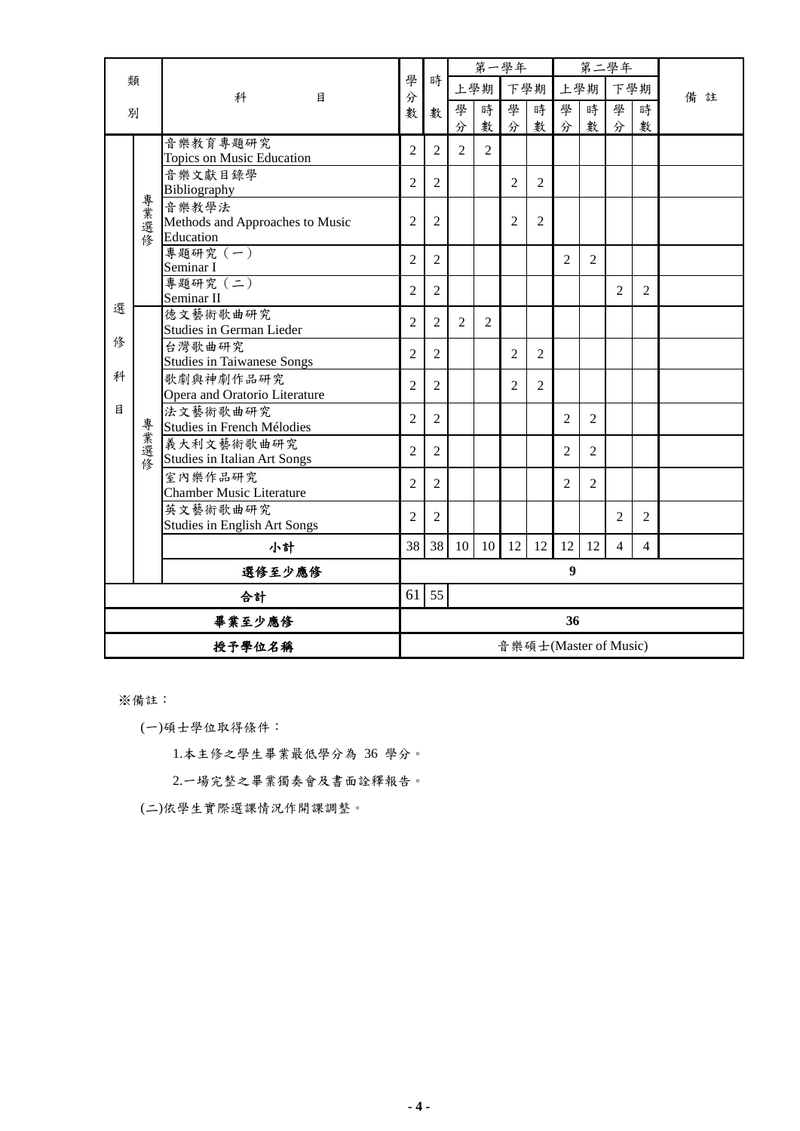|        |        |                                                       |                |                |                |                | 第一學年           |                |                  |                | 第二學年                  |                |        |
|--------|--------|-------------------------------------------------------|----------------|----------------|----------------|----------------|----------------|----------------|------------------|----------------|-----------------------|----------------|--------|
|        | 類      | 科<br>目                                                | 學<br>分         | 時              |                | 上學期            |                | 下學期            |                  | 上學期            | 下學期                   |                | 備<br>註 |
| 別      |        |                                                       | 數              | 數              | 學              | 時              | 學              | 時              | 學                | 時              | 學                     | 時              |        |
|        |        |                                                       |                |                | 分              | 數              | 分              | 數              | 分                | 數              | 分                     | 數              |        |
|        |        | 音樂教育專題研究<br>Topics on Music Education                 | $\overline{2}$ | $\overline{2}$ | $\overline{2}$ | 2              |                |                |                  |                |                       |                |        |
|        |        | 音樂文獻目錄學<br>Bibliography                               | $\overline{2}$ | $\overline{2}$ |                |                | $\overline{2}$ | $\overline{2}$ |                  |                |                       |                |        |
|        | 專業選修   | 音樂教學法<br>Methods and Approaches to Music<br>Education | $\overline{2}$ | 2              |                |                | 2              | $\overline{2}$ |                  |                |                       |                |        |
|        |        | 專題研究 (一)<br>Seminar I                                 | $\overline{2}$ | 2              |                |                |                |                | 2                | 2              |                       |                |        |
|        |        | 專題研究 (二)<br>Seminar II                                | $\overline{2}$ | $\overline{2}$ |                |                |                |                |                  |                | $\overline{2}$        | $\overline{2}$ |        |
| 選      |        | 德文藝術歌曲研究<br><b>Studies in German Lieder</b>           | $\overline{2}$ | $\overline{2}$ | $\overline{2}$ | $\overline{2}$ |                |                |                  |                |                       |                |        |
| 俢      |        | 台灣歌曲研究<br><b>Studies in Taiwanese Songs</b>           | $\overline{2}$ | $\overline{c}$ |                |                | $\overline{2}$ | $\overline{2}$ |                  |                |                       |                |        |
| 科      |        | 歌劇與神劇作品研究<br>Opera and Oratorio Literature            | $\overline{2}$ | 2              |                |                | $\overline{2}$ | 2              |                  |                |                       |                |        |
| 目      |        | 法文藝術歌曲研究<br>Studies in French Mélodies                | $\overline{2}$ | $\overline{2}$ |                |                |                |                | $\overline{2}$   | $\overline{2}$ |                       |                |        |
|        | 專業選修   | 義大利文藝術歌曲研究<br><b>Studies in Italian Art Songs</b>     | $\overline{c}$ | $\overline{2}$ |                |                |                |                | $\overline{c}$   | $\overline{2}$ |                       |                |        |
|        |        | 室內樂作品研究<br><b>Chamber Music Literature</b>            | $\overline{2}$ | $\overline{2}$ |                |                |                |                | $\overline{2}$   | $\overline{2}$ |                       |                |        |
|        |        | 英文藝術歌曲研究<br><b>Studies in English Art Songs</b>       | $\overline{2}$ | $\overline{c}$ |                |                |                |                |                  |                | $\overline{2}$        | $\overline{2}$ |        |
|        |        | 小計                                                    | 38             | 38             | 10             | 10             | 12             | 12             | 12               | 12             | 4                     | 4              |        |
|        |        | 選修至少應修                                                |                |                |                |                |                |                | $\boldsymbol{9}$ |                |                       |                |        |
| 合計     |        | 61                                                    | 55             |                |                |                |                |                |                  |                |                       |                |        |
|        | 畢業至少應修 |                                                       |                |                |                |                |                |                | 36               |                |                       |                |        |
| 授予學位名稱 |        |                                                       |                |                |                |                |                |                |                  |                | 音樂碩士(Master of Music) |                |        |

※備註:

(一)碩士學位取得條件:

1.本主修之學生畢業最低學分為 36 學分。

2.一場完整之畢業獨奏會及書面詮釋報告。

(二)依學生實際選課情況作開課調整。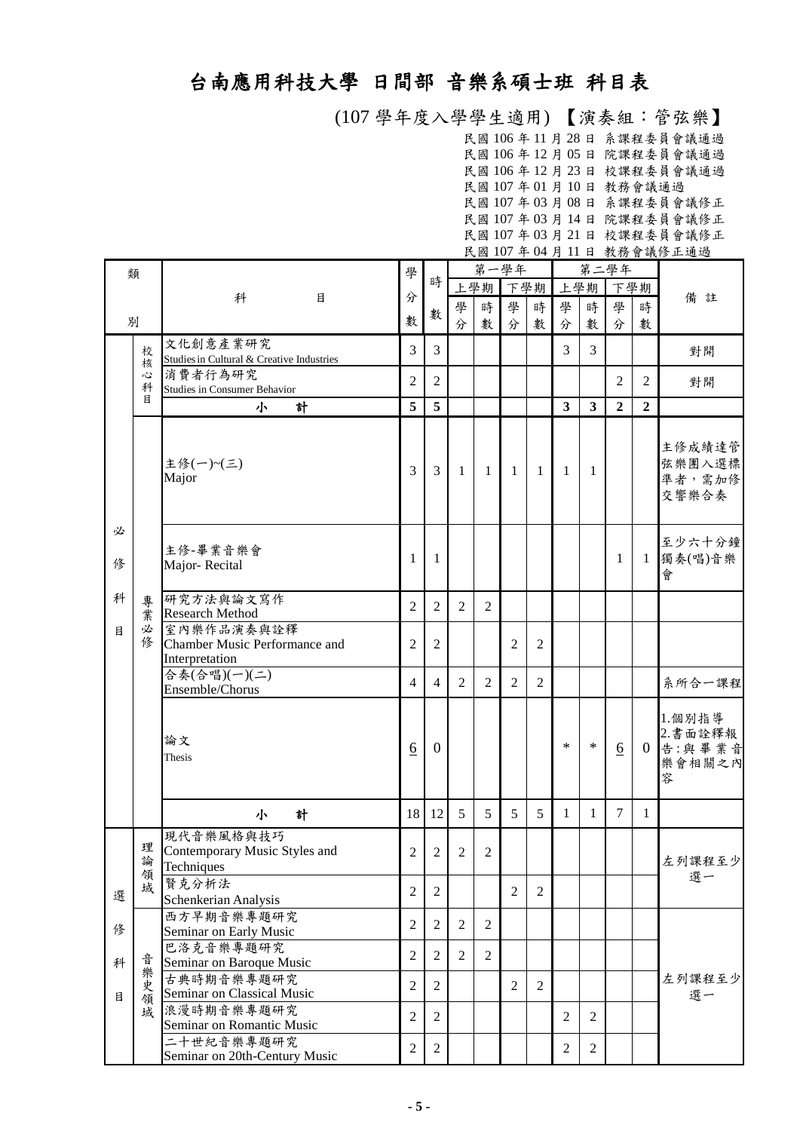## 台南應用科技大學 日間部 音樂系碩士班 科目表

 (107 學年度入學學生適用) 【演奏組:管弦樂】 民國 106 年 11 月 28 日 系課程委員會議通過 民國 106 年 12 月 05 日 院課程委員會議通過 民國 106 年 12 月 23 日 校課程委員會議通過 民國 107 年 01 月 10 日 教務會議通過 民國 107 年 03 月 08 日 系課程委員會議修正 民國 107 年 03 月 14 日 院課程委員會議修正 民國 107 年 03 月 21 日 校課程委員會議修正 民國 107 年 04 月 11 日 教務會議修正通過

| 類      |                  |                                                                   | 學                |                |                |                | 第一學年           |                |                |                | 第二學年            |                |                                            |  |
|--------|------------------|-------------------------------------------------------------------|------------------|----------------|----------------|----------------|----------------|----------------|----------------|----------------|-----------------|----------------|--------------------------------------------|--|
|        |                  |                                                                   |                  | 時              |                | 上學期            | 下學期            |                |                | 上學期            | 下學期             |                |                                            |  |
|        |                  | 科<br>目                                                            | 分                |                | 學              | 時              | 學              | 時              | 學              | 時              | 學               | 時              | 備註                                         |  |
|        | 別                |                                                                   | 數                | 數              | 分              | 數              | 分              | 數              | 分              | 數              | 分               | 數              |                                            |  |
|        |                  | 文化創意產業研究                                                          |                  |                |                |                |                |                |                |                |                 |                |                                            |  |
|        | 校<br>核           | Studies in Cultural & Creative Industries                         | 3                | $\overline{3}$ |                |                |                |                | 3              | 3              |                 |                | 對開                                         |  |
|        | Č                | 消費者行為研究                                                           | $\mathbf{2}$     | $\overline{2}$ |                |                |                |                |                |                | 2               | $\overline{2}$ |                                            |  |
|        | 科<br>目           | Studies in Consumer Behavior                                      |                  |                |                |                |                |                |                |                |                 |                | 對開                                         |  |
|        |                  | 計<br>小                                                            | 5                | 5              |                |                |                |                | $\mathbf{3}$   | 3              | $\overline{2}$  | $\overline{2}$ |                                            |  |
|        |                  | 主修(一)~(三)<br>Major                                                | 3                | 3              | -1             | -1             | -1             | 1              | 1              | 1              |                 |                | 主修成績達管<br>弦樂團入選標<br>準者,需加修<br>交響樂合奏        |  |
| 必<br>俢 |                  | 主修-畢業音樂會<br>Major-Recital                                         | 1                | 1              |                |                |                |                |                |                | 1               | 1              | 至少六十分鐘<br>獨奏(唱)音樂<br>會                     |  |
| 科      | 專<br>業           | 研究方法與論文寫作<br><b>Research Method</b>                               | $\mathbf{2}$     | $\overline{2}$ | 2              | $\overline{2}$ |                |                |                |                |                 |                |                                            |  |
| 目      | 必<br>俢           | 室內樂作品演奏與詮釋<br>Chamber Music Performance and<br>Interpretation     | $\overline{2}$   | $\overline{2}$ |                |                | $\overline{2}$ | $\overline{2}$ |                |                |                 |                |                                            |  |
|        |                  | 合奏(合唱)(一)(二)<br>Ensemble/Chorus                                   | $\overline{4}$   | 4              | 2              | 2              | $\overline{2}$ | $\overline{c}$ |                |                |                 |                | 系所合一課程                                     |  |
|        |                  | 論文<br>Thesis                                                      | $6 \overline{6}$ | $\theta$       |                |                |                |                | $\ast$         | $\ast$         | $\underline{6}$ | $\Omega$       | 1.個別指導<br>2.書面詮釋報<br>告:與畢業音<br>樂會相關之內<br>容 |  |
|        |                  | 計<br>小                                                            | 18               | 12             | 5              | 5              | 5              | 5              | $\mathbf{1}$   | $\mathbf{1}$   | 7               | $\mathbf{1}$   |                                            |  |
|        | 理<br>論<br>領<br>域 | 現代音樂風格與技巧<br>Contemporary Music Styles and<br>Techniques<br>賢克分析法 | $\overline{c}$   | 2              | $\overline{2}$ | $\mathfrak{2}$ |                |                |                |                |                 |                | 左列課程至少<br>選一                               |  |
| 選      |                  | Schenkerian Analysis                                              | $\mathfrak{2}$   | $\overline{2}$ |                |                | $\overline{2}$ | 2              |                |                |                 |                |                                            |  |
| 俢      |                  | 西方早期音樂專題研究<br>Seminar on Early Music                              | $\mathfrak{2}$   | $\overline{2}$ | $\overline{2}$ | 2              |                |                |                |                |                 |                | 左列課程至少<br>選一                               |  |
| 科      |                  | 巴洛克音樂專題研究<br>Seminar on Baroque Music                             | $\mathfrak{2}$   | $\mathfrak{2}$ | 2              | $\overline{2}$ |                |                |                |                |                 |                |                                            |  |
| 目      | 音樂史<br>領         | 古典時期音樂專題研究<br>Seminar on Classical Music                          | $\mathfrak{2}$   | $\overline{2}$ |                |                | $\overline{2}$ | 2              |                |                |                 |                |                                            |  |
|        | 域                | 浪漫時期音樂專題研究<br>Seminar on Romantic Music                           | $\mathfrak{2}$   | $\overline{2}$ |                |                |                |                | $\overline{2}$ | $\overline{2}$ |                 |                |                                            |  |
|        |                  | 二十世紀音樂專題研究<br>Seminar on 20th-Century Music                       | $\overline{2}$   | $\overline{2}$ |                |                |                |                | $\overline{2}$ | $\overline{2}$ |                 |                |                                            |  |